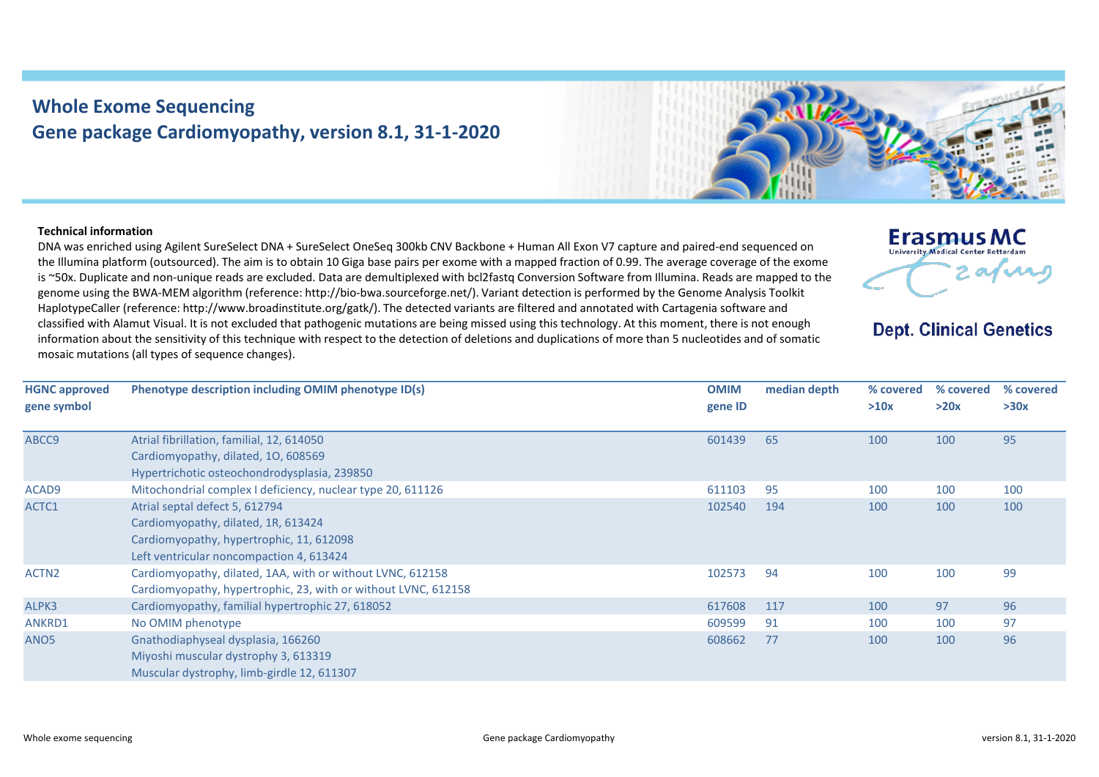## **Whole Exome Sequencing Gene package Cardiomyopathy, version 8.1, 31-1-2020**



**Erasmus MC** University Medical Center Rotterdam

**Dept. Clinical Genetics** 

2 av nu

## **Technical information**

DNA was enriched using Agilent SureSelect DNA + SureSelect OneSeq 300kb CNV Backbone + Human All Exon V7 capture and paired-end sequenced on the Illumina platform (outsourced). The aim is to obtain 10 Giga base pairs per exome with a mapped fraction of 0.99. The average coverage of the exome is ~50x. Duplicate and non-unique reads are excluded. Data are demultiplexed with bcl2fastq Conversion Software from Illumina. Reads are mapped to the genome using the BWA-MEM algorithm (reference: http://bio-bwa.sourceforge.net/). Variant detection is performed by the Genome Analysis Toolkit HaplotypeCaller (reference: http://www.broadinstitute.org/gatk/). The detected variants are filtered and annotated with Cartagenia software and classified with Alamut Visual. It is not excluded that pathogenic mutations are being missed using this technology. At this moment, there is not enough information about the sensitivity of this technique with respect to the detection of deletions and duplications of more than 5 nucleotides and of somatic mosaic mutations (all types of sequence changes).

| <b>HGNC approved</b><br>gene symbol | Phenotype description including OMIM phenotype ID(s)                                                                                                          | <b>OMIM</b><br>gene ID | median depth | % covered<br>>10x | % covered<br>>20x | % covered<br>>30x |
|-------------------------------------|---------------------------------------------------------------------------------------------------------------------------------------------------------------|------------------------|--------------|-------------------|-------------------|-------------------|
| ABCC9                               | Atrial fibrillation, familial, 12, 614050<br>Cardiomyopathy, dilated, 10, 608569<br>Hypertrichotic osteochondrodysplasia, 239850                              | 601439                 | 65           | 100               | 100               | 95                |
| ACAD9                               | Mitochondrial complex I deficiency, nuclear type 20, 611126                                                                                                   | 611103                 | 95           | 100               | 100               | 100               |
| ACTC1                               | Atrial septal defect 5, 612794<br>Cardiomyopathy, dilated, 1R, 613424<br>Cardiomyopathy, hypertrophic, 11, 612098<br>Left ventricular noncompaction 4, 613424 | 102540                 | 194          | 100               | 100               | 100               |
| ACTN <sub>2</sub>                   | Cardiomyopathy, dilated, 1AA, with or without LVNC, 612158<br>Cardiomyopathy, hypertrophic, 23, with or without LVNC, 612158                                  | 102573                 | 94           | 100               | 100               | 99                |
| ALPK3                               | Cardiomyopathy, familial hypertrophic 27, 618052                                                                                                              | 617608                 | 117          | 100               | 97                | 96                |
| <b>ANKRD1</b>                       | No OMIM phenotype                                                                                                                                             | 609599                 | 91           | 100               | 100               | 97                |
| ANO <sub>5</sub>                    | Gnathodiaphyseal dysplasia, 166260<br>Miyoshi muscular dystrophy 3, 613319<br>Muscular dystrophy, limb-girdle 12, 611307                                      | 608662                 | 77           | 100               | 100               | 96                |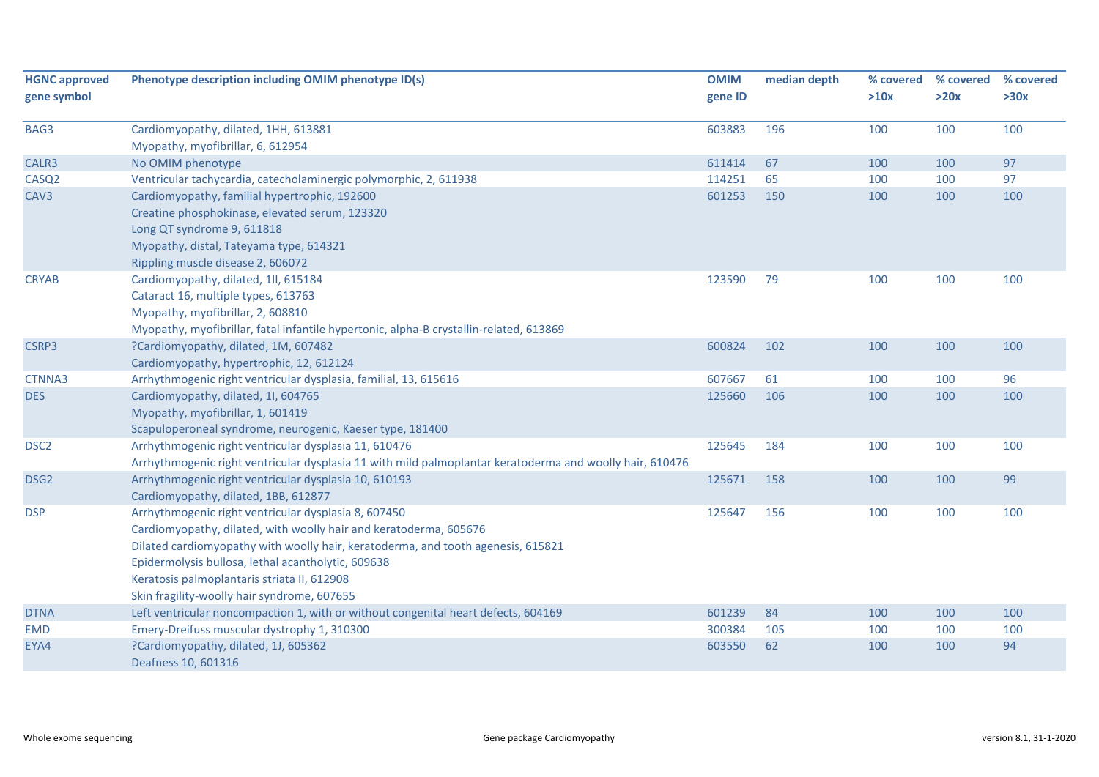| <b>HGNC approved</b> | Phenotype description including OMIM phenotype ID(s)                                                     | <b>OMIM</b> | median depth | % covered | % covered | % covered |
|----------------------|----------------------------------------------------------------------------------------------------------|-------------|--------------|-----------|-----------|-----------|
| gene symbol          |                                                                                                          | gene ID     |              | >10x      | >20x      | >30x      |
| BAG3                 | Cardiomyopathy, dilated, 1HH, 613881                                                                     | 603883      | 196          | 100       | 100       | 100       |
|                      | Myopathy, myofibrillar, 6, 612954                                                                        |             |              |           |           |           |
| CALR3                | No OMIM phenotype                                                                                        | 611414      | 67           | 100       | 100       | 97        |
| CASQ <sub>2</sub>    | Ventricular tachycardia, catecholaminergic polymorphic, 2, 611938                                        | 114251      | 65           | 100       | 100       | 97        |
| CAV <sub>3</sub>     | Cardiomyopathy, familial hypertrophic, 192600                                                            | 601253      | 150          | 100       | 100       | 100       |
|                      | Creatine phosphokinase, elevated serum, 123320                                                           |             |              |           |           |           |
|                      | Long QT syndrome 9, 611818                                                                               |             |              |           |           |           |
|                      | Myopathy, distal, Tateyama type, 614321                                                                  |             |              |           |           |           |
|                      | Rippling muscle disease 2, 606072                                                                        |             |              |           |           |           |
| <b>CRYAB</b>         | Cardiomyopathy, dilated, 1II, 615184                                                                     | 123590      | 79           | 100       | 100       | 100       |
|                      | Cataract 16, multiple types, 613763                                                                      |             |              |           |           |           |
|                      | Myopathy, myofibrillar, 2, 608810                                                                        |             |              |           |           |           |
|                      | Myopathy, myofibrillar, fatal infantile hypertonic, alpha-B crystallin-related, 613869                   |             |              |           |           |           |
| CSRP3                | ?Cardiomyopathy, dilated, 1M, 607482                                                                     | 600824      | 102          | 100       | 100       | 100       |
|                      | Cardiomyopathy, hypertrophic, 12, 612124                                                                 |             |              |           |           |           |
| CTNNA3               | Arrhythmogenic right ventricular dysplasia, familial, 13, 615616                                         | 607667      | 61           | 100       | 100       | 96        |
| <b>DES</b>           | Cardiomyopathy, dilated, 1I, 604765                                                                      | 125660      | 106          | 100       | 100       | 100       |
|                      | Myopathy, myofibrillar, 1, 601419                                                                        |             |              |           |           |           |
|                      | Scapuloperoneal syndrome, neurogenic, Kaeser type, 181400                                                |             |              |           |           |           |
| DSC <sub>2</sub>     | Arrhythmogenic right ventricular dysplasia 11, 610476                                                    | 125645      | 184          | 100       | 100       | 100       |
|                      | Arrhythmogenic right ventricular dysplasia 11 with mild palmoplantar keratoderma and woolly hair, 610476 |             |              |           |           |           |
| DSG <sub>2</sub>     | Arrhythmogenic right ventricular dysplasia 10, 610193                                                    | 125671      | 158          | 100       | 100       | 99        |
|                      | Cardiomyopathy, dilated, 1BB, 612877                                                                     |             |              |           |           |           |
| <b>DSP</b>           | Arrhythmogenic right ventricular dysplasia 8, 607450                                                     | 125647      | 156          | 100       | 100       | 100       |
|                      | Cardiomyopathy, dilated, with woolly hair and keratoderma, 605676                                        |             |              |           |           |           |
|                      | Dilated cardiomyopathy with woolly hair, keratoderma, and tooth agenesis, 615821                         |             |              |           |           |           |
|                      | Epidermolysis bullosa, lethal acantholytic, 609638                                                       |             |              |           |           |           |
|                      | Keratosis palmoplantaris striata II, 612908                                                              |             |              |           |           |           |
|                      | Skin fragility-woolly hair syndrome, 607655                                                              |             |              |           |           |           |
| <b>DTNA</b>          | Left ventricular noncompaction 1, with or without congenital heart defects, 604169                       | 601239      | 84           | 100       | 100       | 100       |
| <b>EMD</b>           | Emery-Dreifuss muscular dystrophy 1, 310300                                                              | 300384      | 105          | 100       | 100       | 100       |
| EYA4                 | ?Cardiomyopathy, dilated, 1J, 605362                                                                     | 603550      | 62           | 100       | 100       | 94        |
|                      | Deafness 10, 601316                                                                                      |             |              |           |           |           |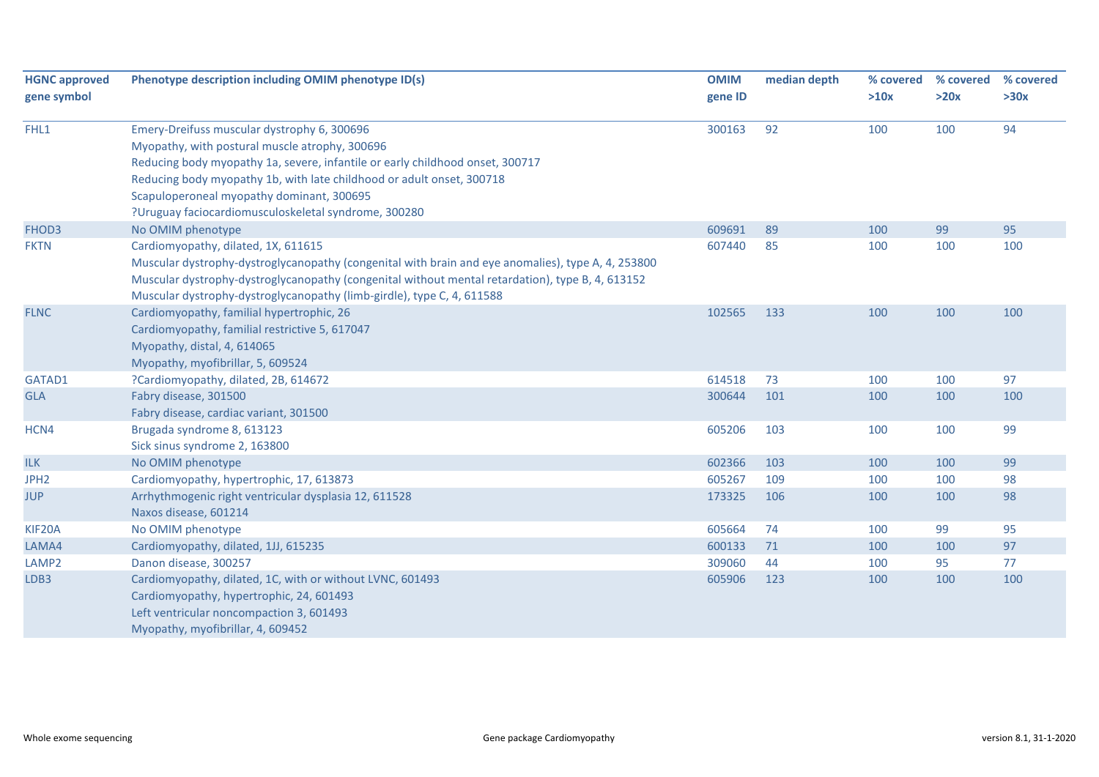| <b>HGNC approved</b> | Phenotype description including OMIM phenotype ID(s)                                               | <b>OMIM</b> | median depth | % covered | % covered | % covered |
|----------------------|----------------------------------------------------------------------------------------------------|-------------|--------------|-----------|-----------|-----------|
| gene symbol          |                                                                                                    | gene ID     |              | >10x      | >20x      | >30x      |
| FHL1                 | Emery-Dreifuss muscular dystrophy 6, 300696                                                        | 300163      | 92           | 100       | 100       | 94        |
|                      | Myopathy, with postural muscle atrophy, 300696                                                     |             |              |           |           |           |
|                      | Reducing body myopathy 1a, severe, infantile or early childhood onset, 300717                      |             |              |           |           |           |
|                      | Reducing body myopathy 1b, with late childhood or adult onset, 300718                              |             |              |           |           |           |
|                      | Scapuloperoneal myopathy dominant, 300695                                                          |             |              |           |           |           |
|                      | ?Uruguay faciocardiomusculoskeletal syndrome, 300280                                               |             |              |           |           |           |
| FHOD3                | No OMIM phenotype                                                                                  | 609691      | 89           | 100       | 99        | 95        |
| <b>FKTN</b>          | Cardiomyopathy, dilated, 1X, 611615                                                                | 607440      | 85           | 100       | 100       | 100       |
|                      | Muscular dystrophy-dystroglycanopathy (congenital with brain and eye anomalies), type A, 4, 253800 |             |              |           |           |           |
|                      | Muscular dystrophy-dystroglycanopathy (congenital without mental retardation), type B, 4, 613152   |             |              |           |           |           |
|                      | Muscular dystrophy-dystroglycanopathy (limb-girdle), type C, 4, 611588                             |             |              |           |           |           |
| <b>FLNC</b>          | Cardiomyopathy, familial hypertrophic, 26                                                          | 102565      | 133          | 100       | 100       | 100       |
|                      | Cardiomyopathy, familial restrictive 5, 617047                                                     |             |              |           |           |           |
|                      | Myopathy, distal, 4, 614065                                                                        |             |              |           |           |           |
|                      | Myopathy, myofibrillar, 5, 609524                                                                  |             |              |           |           |           |
| GATAD1               | ?Cardiomyopathy, dilated, 2B, 614672                                                               | 614518      | 73           | 100       | 100       | 97        |
| <b>GLA</b>           | Fabry disease, 301500                                                                              | 300644      | 101          | 100       | 100       | 100       |
|                      | Fabry disease, cardiac variant, 301500                                                             |             |              |           |           |           |
| HCN4                 | Brugada syndrome 8, 613123                                                                         | 605206      | 103          | 100       | 100       | 99        |
|                      | Sick sinus syndrome 2, 163800                                                                      |             |              |           |           |           |
| ILK                  | No OMIM phenotype                                                                                  | 602366      | 103          | 100       | 100       | 99        |
| JPH <sub>2</sub>     | Cardiomyopathy, hypertrophic, 17, 613873                                                           | 605267      | 109          | 100       | 100       | 98        |
| <b>JUP</b>           | Arrhythmogenic right ventricular dysplasia 12, 611528                                              | 173325      | 106          | 100       | 100       | 98        |
|                      | Naxos disease, 601214                                                                              |             |              |           |           |           |
| KIF20A               | No OMIM phenotype                                                                                  | 605664      | 74           | 100       | 99        | 95        |
| LAMA4                | Cardiomyopathy, dilated, 1JJ, 615235                                                               | 600133      | 71           | 100       | 100       | 97        |
| LAMP <sub>2</sub>    | Danon disease, 300257                                                                              | 309060      | 44           | 100       | 95        | 77        |
| LDB3                 | Cardiomyopathy, dilated, 1C, with or without LVNC, 601493                                          | 605906      | 123          | 100       | 100       | 100       |
|                      | Cardiomyopathy, hypertrophic, 24, 601493                                                           |             |              |           |           |           |
|                      | Left ventricular noncompaction 3, 601493                                                           |             |              |           |           |           |
|                      | Myopathy, myofibrillar, 4, 609452                                                                  |             |              |           |           |           |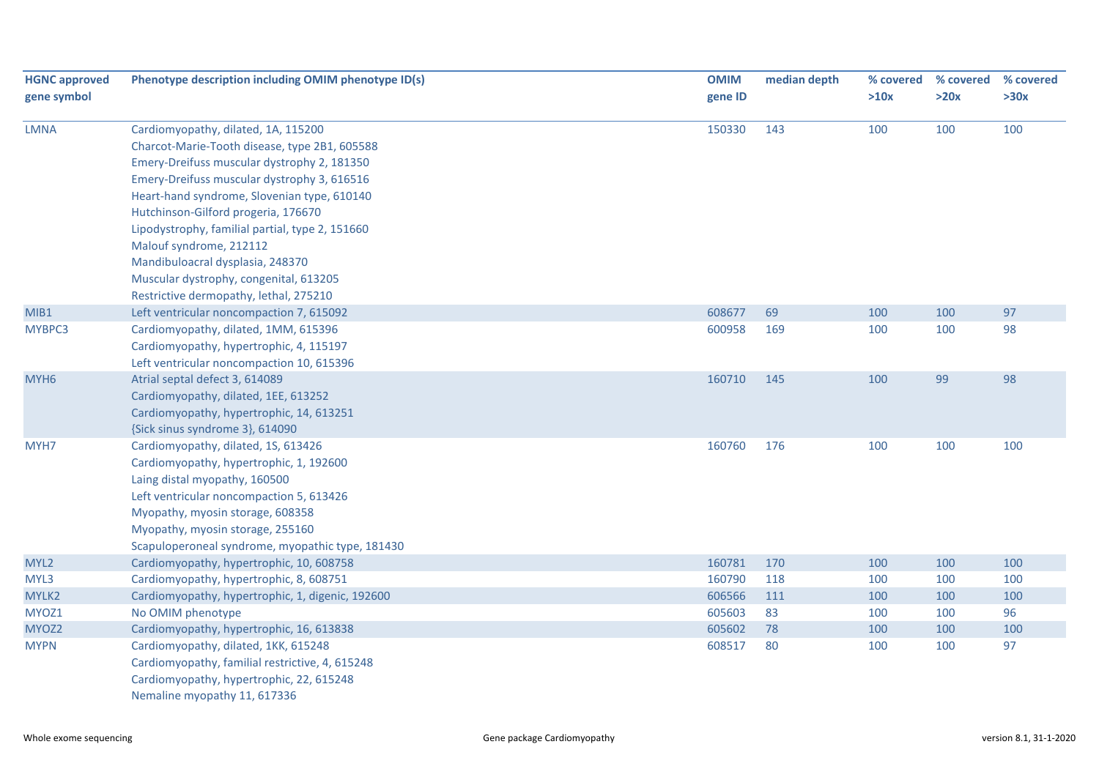| <b>HGNC approved</b> | Phenotype description including OMIM phenotype ID(s) | <b>OMIM</b> | median depth | % covered | % covered | % covered |
|----------------------|------------------------------------------------------|-------------|--------------|-----------|-----------|-----------|
| gene symbol          |                                                      | gene ID     |              | >10x      | >20x      | >30x      |
|                      |                                                      |             |              |           |           |           |
| <b>LMNA</b>          | Cardiomyopathy, dilated, 1A, 115200                  | 150330      | 143          | 100       | 100       | 100       |
|                      | Charcot-Marie-Tooth disease, type 2B1, 605588        |             |              |           |           |           |
|                      | Emery-Dreifuss muscular dystrophy 2, 181350          |             |              |           |           |           |
|                      | Emery-Dreifuss muscular dystrophy 3, 616516          |             |              |           |           |           |
|                      | Heart-hand syndrome, Slovenian type, 610140          |             |              |           |           |           |
|                      | Hutchinson-Gilford progeria, 176670                  |             |              |           |           |           |
|                      | Lipodystrophy, familial partial, type 2, 151660      |             |              |           |           |           |
|                      | Malouf syndrome, 212112                              |             |              |           |           |           |
|                      | Mandibuloacral dysplasia, 248370                     |             |              |           |           |           |
|                      | Muscular dystrophy, congenital, 613205               |             |              |           |           |           |
|                      | Restrictive dermopathy, lethal, 275210               |             |              |           |           |           |
| MIB1                 | Left ventricular noncompaction 7, 615092             | 608677      | 69           | 100       | 100       | 97        |
| MYBPC3               | Cardiomyopathy, dilated, 1MM, 615396                 | 600958      | 169          | 100       | 100       | 98        |
|                      | Cardiomyopathy, hypertrophic, 4, 115197              |             |              |           |           |           |
|                      | Left ventricular noncompaction 10, 615396            |             |              |           |           |           |
| MYH <sub>6</sub>     | Atrial septal defect 3, 614089                       | 160710      | 145          | 100       | 99        | 98        |
|                      | Cardiomyopathy, dilated, 1EE, 613252                 |             |              |           |           |           |
|                      | Cardiomyopathy, hypertrophic, 14, 613251             |             |              |           |           |           |
|                      | {Sick sinus syndrome 3}, 614090                      |             |              |           |           |           |
| MYH7                 | Cardiomyopathy, dilated, 1S, 613426                  | 160760      | 176          | 100       | 100       | 100       |
|                      | Cardiomyopathy, hypertrophic, 1, 192600              |             |              |           |           |           |
|                      | Laing distal myopathy, 160500                        |             |              |           |           |           |
|                      | Left ventricular noncompaction 5, 613426             |             |              |           |           |           |
|                      | Myopathy, myosin storage, 608358                     |             |              |           |           |           |
|                      | Myopathy, myosin storage, 255160                     |             |              |           |           |           |
|                      | Scapuloperoneal syndrome, myopathic type, 181430     |             |              |           |           |           |
| MYL2                 | Cardiomyopathy, hypertrophic, 10, 608758             | 160781      | 170          | 100       | 100       | 100       |
| MYL3                 | Cardiomyopathy, hypertrophic, 8, 608751              | 160790      | 118          | 100       | 100       | 100       |
| MYLK2                | Cardiomyopathy, hypertrophic, 1, digenic, 192600     | 606566      | 111          | 100       | 100       | 100       |
| MYOZ1                | No OMIM phenotype                                    | 605603      | 83           | 100       | 100       | 96        |
| MYOZ2                | Cardiomyopathy, hypertrophic, 16, 613838             | 605602      | 78           | 100       | 100       | 100       |
| <b>MYPN</b>          | Cardiomyopathy, dilated, 1KK, 615248                 | 608517      | 80           | 100       | 100       | 97        |
|                      | Cardiomyopathy, familial restrictive, 4, 615248      |             |              |           |           |           |
|                      | Cardiomyopathy, hypertrophic, 22, 615248             |             |              |           |           |           |
|                      | Nemaline myopathy 11, 617336                         |             |              |           |           |           |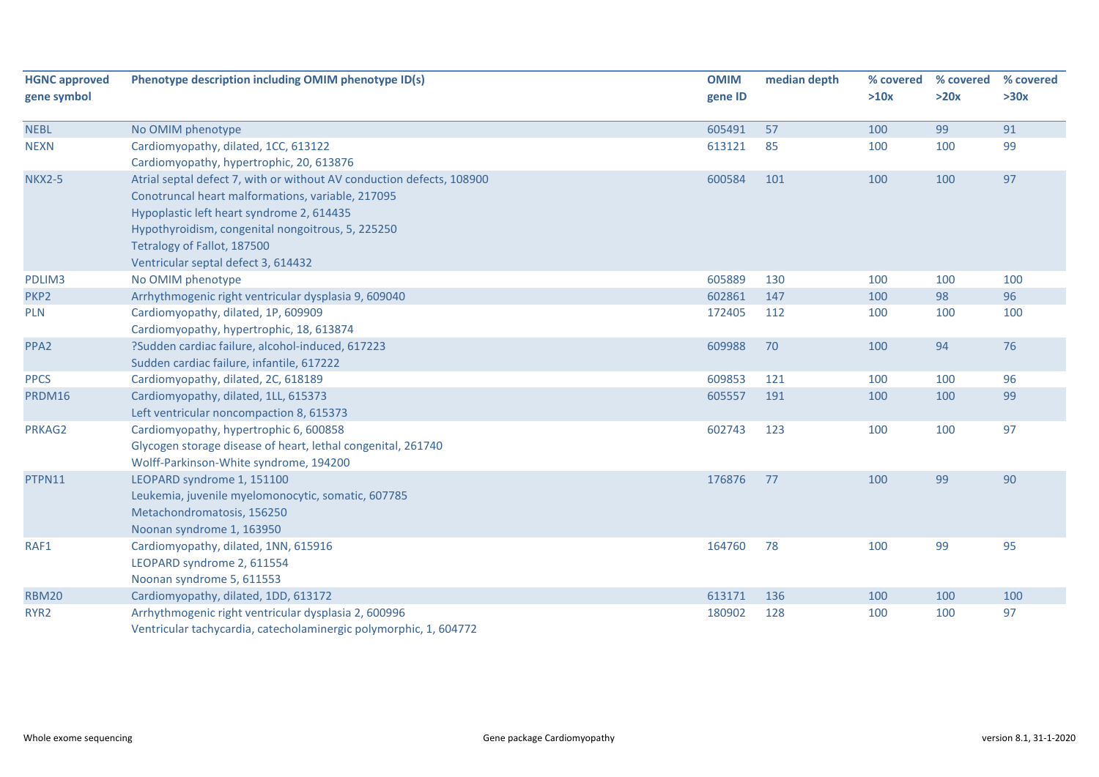| <b>HGNC approved</b> | Phenotype description including OMIM phenotype ID(s)                                                                                                                                                                                                                                               | <b>OMIM</b> | median depth | % covered | % covered | % covered |
|----------------------|----------------------------------------------------------------------------------------------------------------------------------------------------------------------------------------------------------------------------------------------------------------------------------------------------|-------------|--------------|-----------|-----------|-----------|
| gene symbol          |                                                                                                                                                                                                                                                                                                    | gene ID     |              | >10x      | >20x      | >30x      |
| <b>NEBL</b>          | No OMIM phenotype                                                                                                                                                                                                                                                                                  | 605491      | 57           | 100       | 99        | 91        |
| <b>NEXN</b>          | Cardiomyopathy, dilated, 1CC, 613122<br>Cardiomyopathy, hypertrophic, 20, 613876                                                                                                                                                                                                                   | 613121      | 85           | 100       | 100       | 99        |
| <b>NKX2-5</b>        | Atrial septal defect 7, with or without AV conduction defects, 108900<br>Conotruncal heart malformations, variable, 217095<br>Hypoplastic left heart syndrome 2, 614435<br>Hypothyroidism, congenital nongoitrous, 5, 225250<br>Tetralogy of Fallot, 187500<br>Ventricular septal defect 3, 614432 | 600584      | 101          | 100       | 100       | 97        |
| PDLIM3               | No OMIM phenotype                                                                                                                                                                                                                                                                                  | 605889      | 130          | 100       | 100       | 100       |
| PKP <sub>2</sub>     | Arrhythmogenic right ventricular dysplasia 9, 609040                                                                                                                                                                                                                                               | 602861      | 147          | 100       | 98        | 96        |
| <b>PLN</b>           | Cardiomyopathy, dilated, 1P, 609909<br>Cardiomyopathy, hypertrophic, 18, 613874                                                                                                                                                                                                                    | 172405      | 112          | 100       | 100       | 100       |
| PPA <sub>2</sub>     | ?Sudden cardiac failure, alcohol-induced, 617223<br>Sudden cardiac failure, infantile, 617222                                                                                                                                                                                                      | 609988      | 70           | 100       | 94        | 76        |
| <b>PPCS</b>          | Cardiomyopathy, dilated, 2C, 618189                                                                                                                                                                                                                                                                | 609853      | 121          | 100       | 100       | 96        |
| PRDM16               | Cardiomyopathy, dilated, 1LL, 615373<br>Left ventricular noncompaction 8, 615373                                                                                                                                                                                                                   | 605557      | 191          | 100       | 100       | 99        |
| PRKAG2               | Cardiomyopathy, hypertrophic 6, 600858<br>Glycogen storage disease of heart, lethal congenital, 261740<br>Wolff-Parkinson-White syndrome, 194200                                                                                                                                                   | 602743      | 123          | 100       | 100       | 97        |
| PTPN11               | LEOPARD syndrome 1, 151100<br>Leukemia, juvenile myelomonocytic, somatic, 607785<br>Metachondromatosis, 156250<br>Noonan syndrome 1, 163950                                                                                                                                                        | 176876      | 77           | 100       | 99        | 90        |
| RAF1                 | Cardiomyopathy, dilated, 1NN, 615916<br>LEOPARD syndrome 2, 611554<br>Noonan syndrome 5, 611553                                                                                                                                                                                                    | 164760      | 78           | 100       | 99        | 95        |
| <b>RBM20</b>         | Cardiomyopathy, dilated, 1DD, 613172                                                                                                                                                                                                                                                               | 613171      | 136          | 100       | 100       | 100       |
| RYR <sub>2</sub>     | Arrhythmogenic right ventricular dysplasia 2, 600996<br>Ventricular tachycardia, catecholaminergic polymorphic, 1, 604772                                                                                                                                                                          | 180902      | 128          | 100       | 100       | 97        |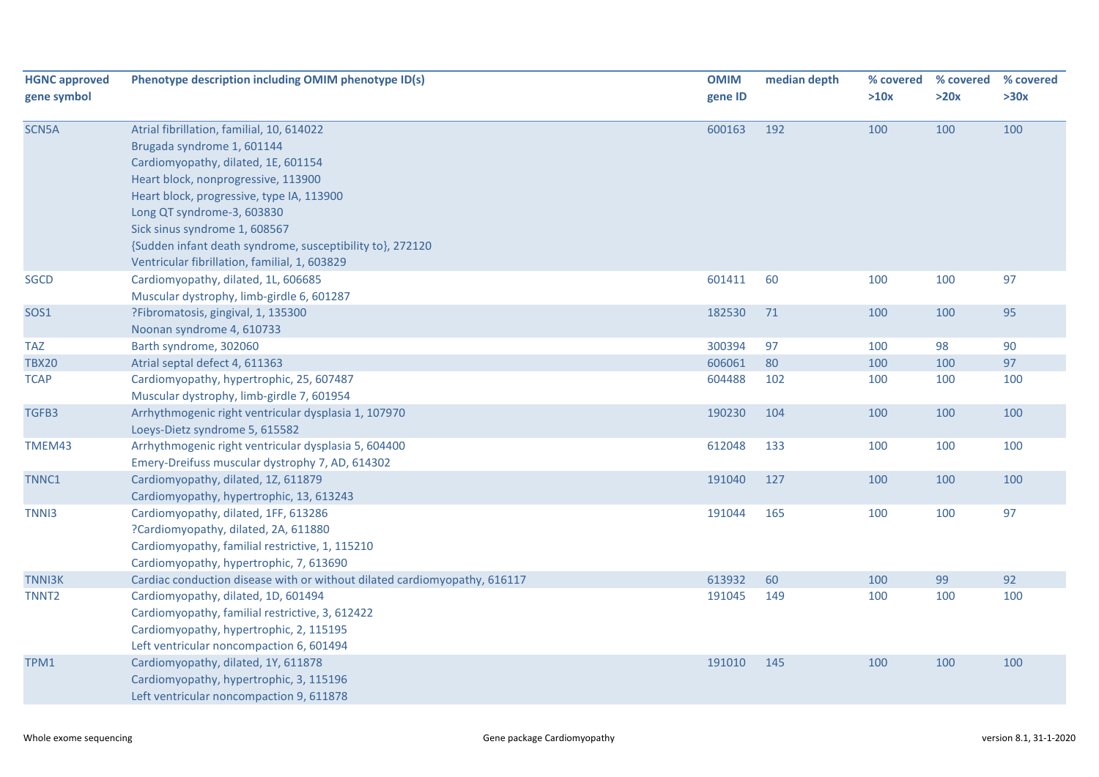| <b>HGNC approved</b> | Phenotype description including OMIM phenotype ID(s)                             | <b>OMIM</b> | median depth | % covered | % covered | % covered |
|----------------------|----------------------------------------------------------------------------------|-------------|--------------|-----------|-----------|-----------|
| gene symbol          |                                                                                  | gene ID     |              | >10x      | >20x      | >30x      |
|                      |                                                                                  |             |              |           |           |           |
| SCN5A                | Atrial fibrillation, familial, 10, 614022                                        | 600163      | 192          | 100       | 100       | 100       |
|                      | Brugada syndrome 1, 601144                                                       |             |              |           |           |           |
|                      | Cardiomyopathy, dilated, 1E, 601154                                              |             |              |           |           |           |
|                      | Heart block, nonprogressive, 113900                                              |             |              |           |           |           |
|                      | Heart block, progressive, type IA, 113900                                        |             |              |           |           |           |
|                      | Long QT syndrome-3, 603830                                                       |             |              |           |           |           |
|                      | Sick sinus syndrome 1, 608567                                                    |             |              |           |           |           |
|                      | {Sudden infant death syndrome, susceptibility to}, 272120                        |             |              |           |           |           |
|                      | Ventricular fibrillation, familial, 1, 603829                                    |             |              |           |           |           |
| <b>SGCD</b>          | Cardiomyopathy, dilated, 1L, 606685                                              | 601411      | 60           | 100       | 100       | 97        |
|                      | Muscular dystrophy, limb-girdle 6, 601287                                        |             |              |           |           |           |
| SOS1                 | ?Fibromatosis, gingival, 1, 135300                                               | 182530      | 71           | 100       | 100       | 95        |
|                      | Noonan syndrome 4, 610733                                                        |             |              |           |           |           |
| <b>TAZ</b>           | Barth syndrome, 302060                                                           | 300394      | 97           | 100       | 98        | 90        |
| <b>TBX20</b>         | Atrial septal defect 4, 611363                                                   | 606061      | 80           | 100       | 100       | 97        |
| <b>TCAP</b>          | Cardiomyopathy, hypertrophic, 25, 607487                                         | 604488      | 102          | 100       | 100       | 100       |
|                      | Muscular dystrophy, limb-girdle 7, 601954                                        |             |              |           |           |           |
| TGFB3                | Arrhythmogenic right ventricular dysplasia 1, 107970                             | 190230      | 104          | 100       | 100       | 100       |
|                      | Loeys-Dietz syndrome 5, 615582                                                   |             |              |           |           |           |
| TMEM43               | Arrhythmogenic right ventricular dysplasia 5, 604400                             | 612048      | 133          | 100       | 100       | 100       |
|                      | Emery-Dreifuss muscular dystrophy 7, AD, 614302                                  |             |              |           |           |           |
| TNNC1                | Cardiomyopathy, dilated, 1Z, 611879                                              | 191040      | 127          | 100       | 100       | 100       |
| TNN <sub>13</sub>    | Cardiomyopathy, hypertrophic, 13, 613243<br>Cardiomyopathy, dilated, 1FF, 613286 | 191044      | 165          | 100       | 100       | 97        |
|                      | ?Cardiomyopathy, dilated, 2A, 611880                                             |             |              |           |           |           |
|                      | Cardiomyopathy, familial restrictive, 1, 115210                                  |             |              |           |           |           |
|                      | Cardiomyopathy, hypertrophic, 7, 613690                                          |             |              |           |           |           |
| <b>TNNI3K</b>        | Cardiac conduction disease with or without dilated cardiomyopathy, 616117        | 613932      | 60           | 100       | 99        | 92        |
| TNNT <sub>2</sub>    | Cardiomyopathy, dilated, 1D, 601494                                              | 191045      | 149          | 100       | 100       | 100       |
|                      | Cardiomyopathy, familial restrictive, 3, 612422                                  |             |              |           |           |           |
|                      | Cardiomyopathy, hypertrophic, 2, 115195                                          |             |              |           |           |           |
|                      | Left ventricular noncompaction 6, 601494                                         |             |              |           |           |           |
| TPM1                 | Cardiomyopathy, dilated, 1Y, 611878                                              | 191010      | 145          | 100       | 100       | 100       |
|                      | Cardiomyopathy, hypertrophic, 3, 115196                                          |             |              |           |           |           |
|                      | Left ventricular noncompaction 9, 611878                                         |             |              |           |           |           |
|                      |                                                                                  |             |              |           |           |           |